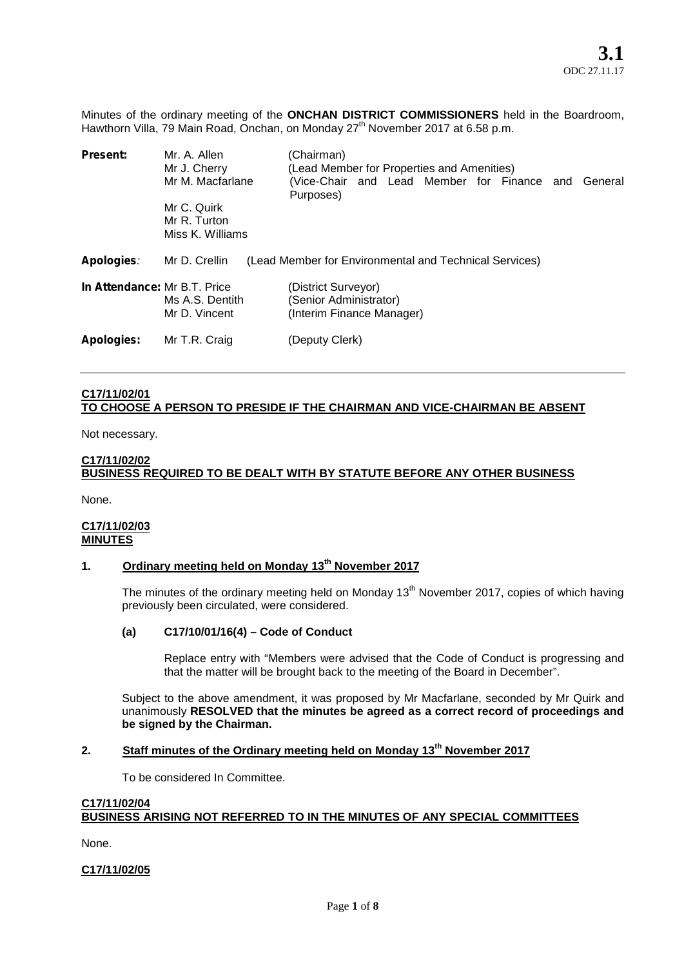Minutes of the ordinary meeting of the **ONCHAN DISTRICT COMMISSIONERS** held in the Boardroom, Hawthorn Villa, 79 Main Road, Onchan, on Monday 27<sup>th</sup> November 2017 at 6.58 p.m.

| <b>Present:</b>                     | Mr. A. Allen<br>Mr J. Cherry<br>Mr M. Macfarlane | (Chairman)<br>(Lead Member for Properties and Amenities)<br>(Vice-Chair and Lead Member for Finance and<br>General<br>Purposes) |
|-------------------------------------|--------------------------------------------------|---------------------------------------------------------------------------------------------------------------------------------|
|                                     | Mr C. Quirk<br>Mr R. Turton<br>Miss K. Williams  |                                                                                                                                 |
| Apologies:                          | Mr D. Crellin                                    | (Lead Member for Environmental and Technical Services)                                                                          |
| <b>In Attendance: Mr B.T. Price</b> | Ms A.S. Dentith<br>Mr D. Vincent                 | (District Surveyor)<br>(Senior Administrator)<br>(Interim Finance Manager)                                                      |
| <b>Apologies:</b>                   | Mr T.R. Craig                                    | (Deputy Clerk)                                                                                                                  |

## **C17/11/02/01 TO CHOOSE A PERSON TO PRESIDE IF THE CHAIRMAN AND VICE-CHAIRMAN BE ABSENT**

Not necessary.

## **C17/11/02/02 BUSINESS REQUIRED TO BE DEALT WITH BY STATUTE BEFORE ANY OTHER BUSINESS**

None.

### **C17/11/02/03 MINUTES**

# **1. Ordinary meeting held on Monday 13th November 2017**

The minutes of the ordinary meeting held on Monday 13<sup>th</sup> November 2017, copies of which having previously been circulated, were considered.

## **(a) C17/10/01/16(4) – Code of Conduct**

Replace entry with "Members were advised that the Code of Conduct is progressing and that the matter will be brought back to the meeting of the Board in December".

Subject to the above amendment, it was proposed by Mr Macfarlane, seconded by Mr Quirk and unanimously **RESOLVED that the minutes be agreed as a correct record of proceedings and be signed by the Chairman.**

# **2. Staff minutes of the Ordinary meeting held on Monday 13th November 2017**

To be considered In Committee.

# **C17/11/02/04 BUSINESS ARISING NOT REFERRED TO IN THE MINUTES OF ANY SPECIAL COMMITTEES**

None.

**C17/11/02/05**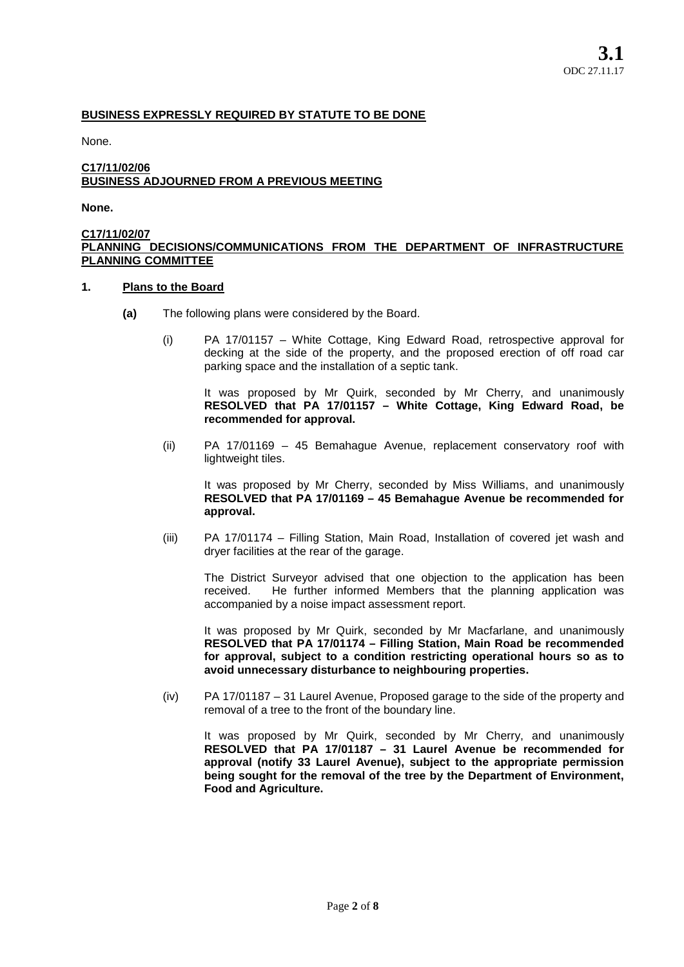# **BUSINESS EXPRESSLY REQUIRED BY STATUTE TO BE DONE**

None.

# **C17/11/02/06 BUSINESS ADJOURNED FROM A PREVIOUS MEETING**

**None.**

## **C17/11/02/07 PLANNING DECISIONS/COMMUNICATIONS FROM THE DEPARTMENT OF INFRASTRUCTURE PLANNING COMMITTEE**

### **1. Plans to the Board**

- **(a)** The following plans were considered by the Board.
	- (i) PA 17/01157 White Cottage, King Edward Road, retrospective approval for decking at the side of the property, and the proposed erection of off road car parking space and the installation of a septic tank.

It was proposed by Mr Quirk, seconded by Mr Cherry, and unanimously **RESOLVED that PA 17/01157 – White Cottage, King Edward Road, be recommended forapproval.**

(ii) PA 17/01169 – 45 Bemahague Avenue, replacement conservatory roof with lightweight tiles.

It was proposed by Mr Cherry, seconded by Miss Williams, and unanimously **RESOLVED that PA 17/01169 – 45 Bemahague Avenue be recommended for approval.**

(iii) PA 17/01174 – Filling Station, Main Road, Installation of covered jet wash and dryer facilities at the rear of the garage.

The District Surveyor advised that one objection to the application has been received. He further informed Members that the planning application was accompanied by a noise impact assessment report.

It was proposed by Mr Quirk, seconded by Mr Macfarlane, and unanimously **RESOLVED that PA 17/01174 – Filling Station, Main Road be recommended for approval, subject to a condition restricting operational hours so as to avoid unnecessary disturbance to neighbouring properties.**

(iv) PA 17/01187 – 31 Laurel Avenue, Proposed garage to the side of the property and removal of a tree to the front of the boundary line.

It was proposed by Mr Quirk, seconded by Mr Cherry, and unanimously **RESOLVED that PA 17/01187 – 31 Laurel Avenue be recommended for approval (notify 33 Laurel Avenue), subject to the appropriate permission being sought for the removal of the tree by the Department of Environment, Food and Agriculture.**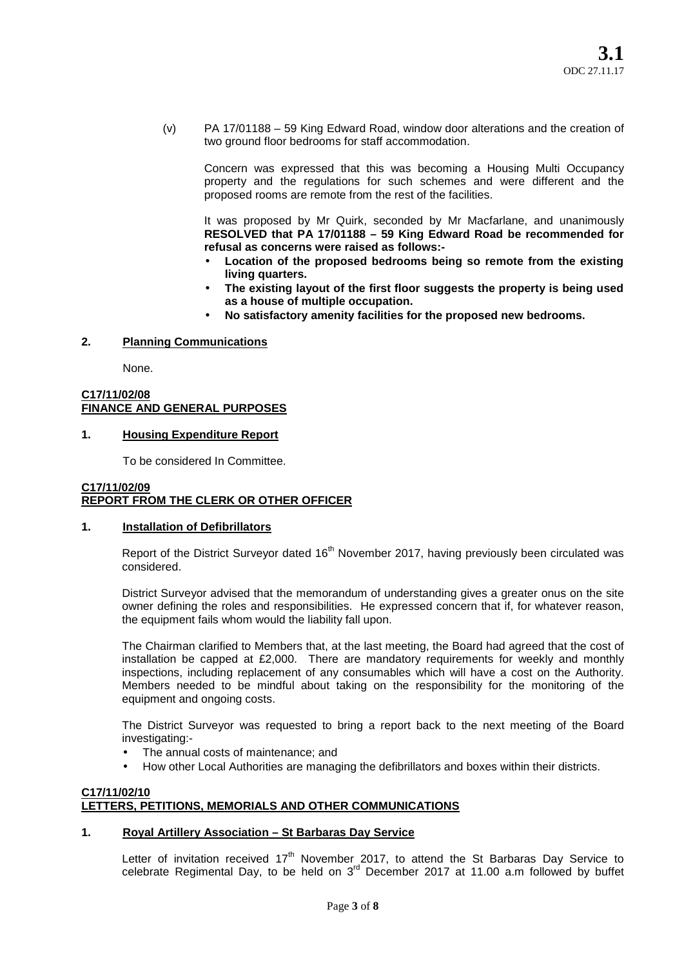(v) PA 17/01188 – 59 King Edward Road, window door alterations and the creation of two ground floor bedrooms for staff accommodation.

Concern was expressed that this was becoming a Housing Multi Occupancy property and the regulations for such schemes and were different and the proposed rooms are remote from the rest of the facilities.

It was proposed by Mr Quirk, seconded by Mr Macfarlane, and unanimously **RESOLVED that PA 17/01188 – 59 King Edward Road be recommended for refusal as concerns were raised as follows:-**

- **Location of the proposed bedrooms being so remote from the existing living quarters.**
- **The existing layout of the first floor suggests the property is being used as a house of multiple occupation.**
- **No satisfactory amenity facilities for the proposed new bedrooms.**

## **2. Planning Communications**

None.

### **C17/11/02/08 FINANCE AND GENERAL PURPOSES**

# **1. Housing Expenditure Report**

To be considered In Committee.

### **C17/11/02/09 REPORT FROM THE CLERK OR OTHER OFFICER**

## **1. Installation of Defibrillators**

Report of the District Surveyor dated 16<sup>th</sup> November 2017, having previously been circulated was considered.

District Surveyor advised that the memorandum of understanding gives a greater onus on the site owner defining the roles and responsibilities. He expressed concern that if, for whatever reason, the equipment fails whom would the liability fall upon.

The Chairman clarified to Members that, at the last meeting, the Board had agreed that the cost of installation be capped at £2,000. There are mandatory requirements for weekly and monthly inspections, including replacement of any consumables which will have a cost on the Authority. Members needed to be mindful about taking on the responsibility for the monitoring of the equipment and ongoing costs.

The District Surveyor was requested to bring a report back to the next meeting of the Board investigating:-

- The annual costs of maintenance; and
- How other Local Authorities are managing the defibrillators and boxes within their districts.

## **C17/11/02/10 LETTERS, PETITIONS, MEMORIALS AND OTHER COMMUNICATIONS**

# **1. Royal Artillery Association – St Barbaras Day Service**

Letter of invitation received 17<sup>th</sup> November 2017, to attend the St Barbaras Day Service to celebrate Regimental Day, to be held on  $3<sup>rd</sup>$  December 2017 at 11.00 a.m followed by buffet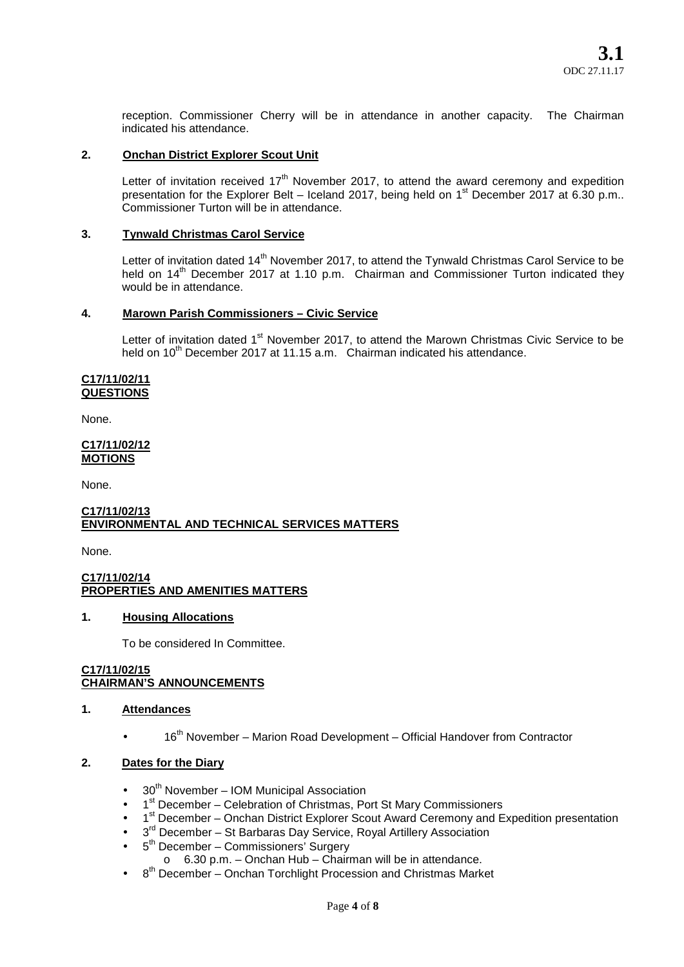reception. Commissioner Cherry will be in attendance in another capacity. The Chairman indicated his attendance.

# **2. Onchan District Explorer Scout Unit**

Letter of invitation received  $17<sup>th</sup>$  November 2017, to attend the award ceremony and expedition presentation for the Explorer Belt – Iceland 2017, being held on 1<sup>st</sup> December 2017 at 6.30 p.m.. Commissioner Turton will be in attendance.

## **3. Tynwald Christmas Carol Service**

Letter of invitation dated 14<sup>th</sup> November 2017, to attend the Tynwald Christmas Carol Service to be held on 14<sup>th</sup> December 2017 at 1.10 p.m. Chairman and Commissioner Turton indicated they would be in attendance.

### **4. Marown Parish Commissioners – Civic Service**

Letter of invitation dated  $1<sup>st</sup>$  November 2017, to attend the Marown Christmas Civic Service to be held on 10<sup>th</sup> December 2017 at 11.15 a.m. Chairman indicated his attendance.

#### **C17/11/02/11 QUESTIONS**

None.

### **C17/11/02/12 MOTIONS**

None.

# **C17/11/02/13 ENVIRONMENTAL AND TECHNICAL SERVICES MATTERS**

None.

## **C17/11/02/14 PROPERTIES AND AMENITIES MATTERS**

# **1. Housing Allocations**

To be considered In Committee.

### **C17/11/02/15 CHAIRMAN'S ANNOUNCEMENTS**

# **1. Attendances**

16<sup>th</sup> November – Marion Road Development – Official Handover from Contractor

# **2. Dates for the Diary**

- 30<sup>th</sup> November IOM Municipal Association
- 1<sup>st</sup> December Celebration of Christmas, Port St Mary Commissioners
- 1<sup>st</sup> December Onchan District Explorer Scout Award Ceremony and Expedition presentation
- 3<sup>rd</sup> December St Barbaras Day Service, Royal Artillery Association
- 5<sup>th</sup> December Commissioners' Surgery
	- $\circ$  6.30 p.m. Onchan Hub Chairman will be in attendance.
- 8<sup>th</sup> December Onchan Torchlight Procession and Christmas Market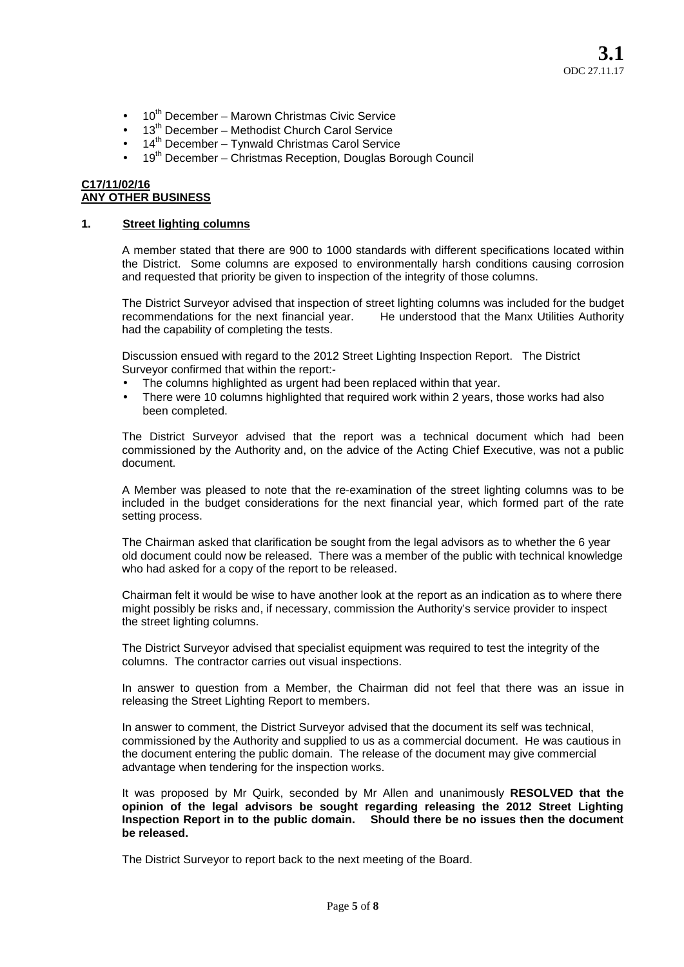- $\bullet$  10<sup>th</sup> December Marown Christmas Civic Service
- $\bullet$  13<sup>th</sup> December Methodist Church Carol Service
- $\bullet$  14<sup>th</sup> December Tynwald Christmas Carol Service
- 19<sup>th</sup> December Christmas Reception, Douglas Borough Council

## **C17/11/02/16 ANY OTHER BUSINESS**

## **1. Street lighting columns**

A member stated that there are 900 to 1000 standards with different specifications located within the District. Some columns are exposed to environmentally harsh conditions causing corrosion and requested that priority be given to inspection of the integrity of those columns.

The District Surveyor advised that inspection of street lighting columns was included for the budget recommendations for the next financial vear. <br>He understood that the Manx Utilities Authority He understood that the Manx Utilities Authority had the capability of completing the tests.

Discussion ensued with regard to the 2012 Street Lighting Inspection Report. The District Surveyor confirmed that within the report:-

- The columns highlighted as urgent had been replaced within that year.
- There were 10 columns highlighted that required work within 2 years, those works had also been completed.

The District Surveyor advised that the report was a technical document which had been commissioned by the Authority and, on the advice of the Acting Chief Executive, was not a public document.

A Member was pleased to note that the re-examination of the street lighting columns was to be included in the budget considerations for the next financial year, which formed part of the rate setting process.

The Chairman asked that clarification be sought from the legal advisors as to whether the 6 year old document could now be released. There was a member of the public with technical knowledge who had asked for a copy of the report to be released.

Chairman felt it would be wise to have another look at the report as an indication as to where there might possibly be risks and, if necessary, commission the Authority's service provider to inspect the street lighting columns.

The District Surveyor advised that specialist equipment was required to test the integrity of the columns. The contractor carries out visual inspections.

In answer to question from a Member, the Chairman did not feel that there was an issue in releasing the Street Lighting Report to members.

In answer to comment, the District Surveyor advised that the document its self was technical, commissioned by the Authority and supplied to us as a commercial document. He was cautious in the document entering the public domain. The release of the document may give commercial advantage when tendering for the inspection works.

It was proposed by Mr Quirk, seconded by Mr Allen and unanimously **RESOLVED that the opinion of the legal advisors be sought regarding releasing the 2012 Street Lighting Inspection Report in to the public domain. Should there be no issues then the document be released.**

The District Surveyor to report back to the next meeting of the Board.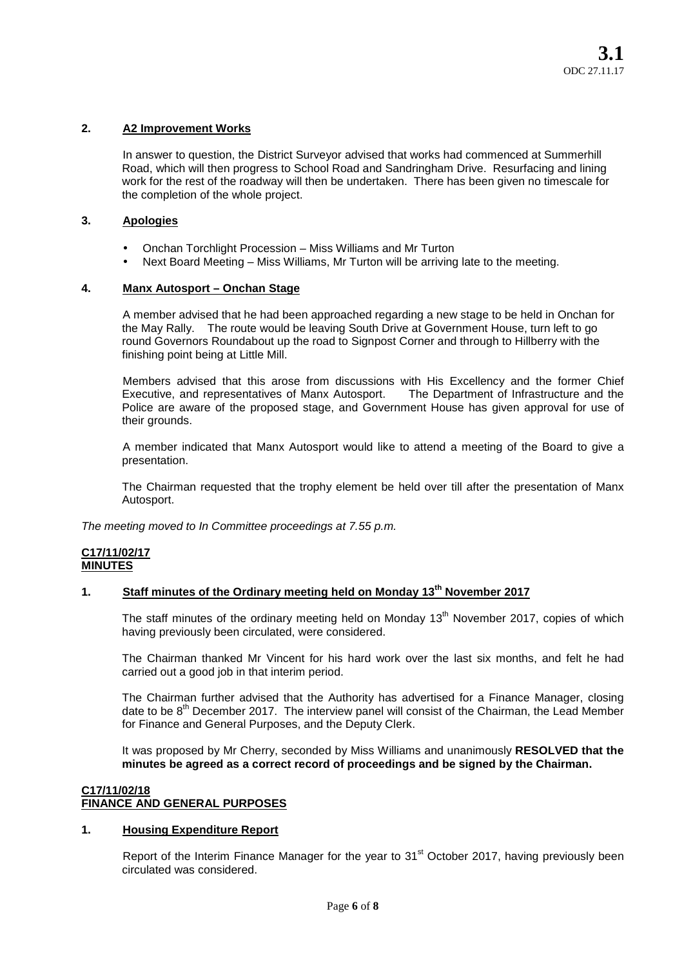# **2. A2 Improvement Works**

In answer to question, the District Surveyor advised that works had commenced at Summerhill Road, which will then progress to School Road and Sandringham Drive. Resurfacing and lining work for the rest of the roadway will then be undertaken. There has been given no timescale for the completion of the whole project.

## **3. Apologies**

- Onchan Torchlight Procession Miss Williams and Mr Turton
- Next Board Meeting Miss Williams, Mr Turton will be arriving late to the meeting.

### **4. Manx Autosport – Onchan Stage**

A member advised that he had been approached regarding a new stage to be held in Onchan for the May Rally. The route would be leaving South Drive at Government House, turn left to go round Governors Roundabout up the road to Signpost Corner and through to Hillberry with the finishing point being at Little Mill.

Members advised that this arose from discussions with His Excellency and the former Chief<br>Executive, and representatives of Manx Autosport. The Department of Infrastructure and the Executive, and representatives of Manx Autosport. Police are aware of the proposed stage, and Government House has given approval for use of their grounds.

A member indicated that Manx Autosport would like to attend a meeting of the Board to give a presentation.

The Chairman requested that the trophy element be held over till after the presentation of Manx Autosport.

*The meeting moved to In Committee proceedings at 7.55 p.m.*

# **C17/11/02/17 MINUTES**

# **1. Staff minutes of the Ordinary meeting held on Monday 13th November 2017**

The staff minutes of the ordinary meeting held on Monday  $13<sup>th</sup>$  November 2017, copies of which having previously been circulated, were considered.

The Chairman thanked Mr Vincent for his hard work over the last six months, and felt he had carried out a good job in that interim period.

The Chairman further advised that the Authority has advertised for a Finance Manager, closing date to be 8<sup>th</sup> December 2017. The interview panel will consist of the Chairman, the Lead Member for Finance and General Purposes, and the Deputy Clerk.

It was proposed by Mr Cherry, seconded by Miss Williams and unanimously **RESOLVED that the minutes be agreed as a correct record of proceedings and be signed by the Chairman.**

# **C17/11/02/18**

# **FINANCE AND GENERAL PURPOSES**

## **1. Housing Expenditure Report**

Report of the Interim Finance Manager for the year to  $31<sup>st</sup>$  October 2017, having previously been circulated was considered.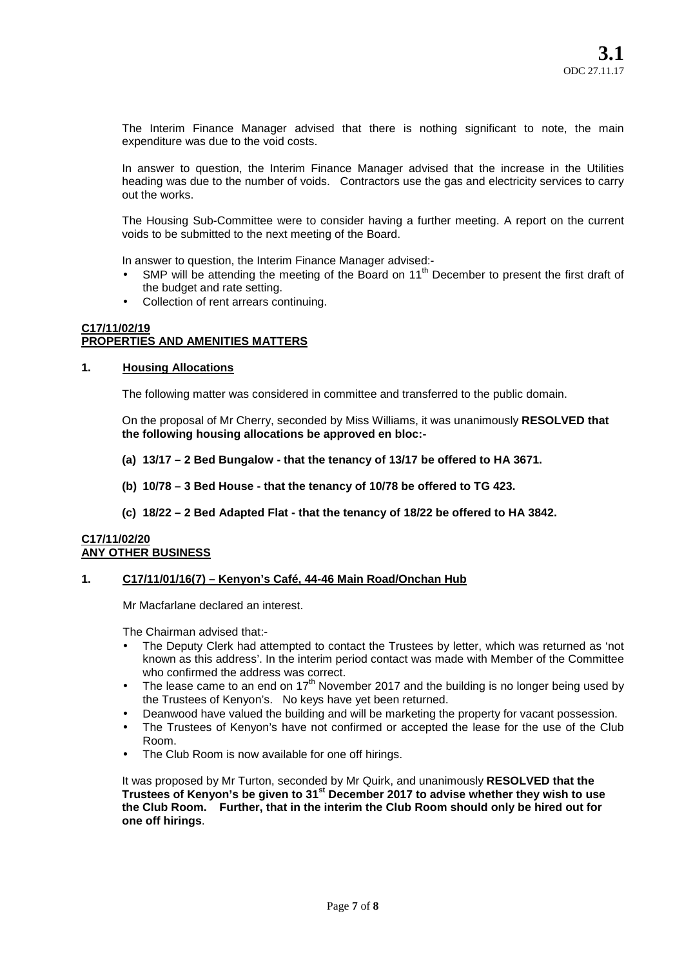The Interim Finance Manager advised that there is nothing significant to note, the main expenditure was due to the void costs.

In answer to question, the Interim Finance Manager advised that the increase in the Utilities heading was due to the number of voids. Contractors use the gas and electricity services to carry out the works.

The Housing Sub-Committee were to consider having a further meeting. A report on the current voids to be submitted to the next meeting of the Board.

In answer to question, the Interim Finance Manager advised:-

- SMP will be attending the meeting of the Board on  $11<sup>th</sup>$  December to present the first draft of the budget and rate setting.
- Collection of rent arrears continuing.

## **C17/11/02/19 PROPERTIES AND AMENITIES MATTERS**

### **1. Housing Allocations**

The following matter was considered in committee and transferred to the public domain.

On the proposal of Mr Cherry, seconded by Miss Williams, it was unanimously **RESOLVED that the following housing allocations be approved en bloc:-**

- **(a) 13/17 – 2 Bed Bungalow - that the tenancy of 13/17 be offered to HA 3671.**
- **(b) 10/78 – 3 Bed House - that the tenancy of 10/78 be offered to TG 423.**
- **(c) 18/22 – 2 Bed Adapted Flat- that the tenancy of 18/22 be offered to HA 3842.**

#### **C17/11/02/20 ANY OTHER BUSINESS**

### **1. C17/11/01/16(7) – Kenyon's Café, 44-46 Main Road/Onchan Hub**

Mr Macfarlane declared an interest.

The Chairman advised that:-

- The Deputy Clerk had attempted to contact the Trustees by letter, which was returned as 'not known as this address'. In the interim period contact was made with Member of the Committee who confirmed the address was correct.
- The lease came to an end on  $17<sup>th</sup>$  November 2017 and the building is no longer being used by the Trustees of Kenyon's. No keys have yet been returned.
- Deanwood have valued the building and will be marketing the property for vacant possession.
- The Trustees of Kenyon's have not confirmed or accepted the lease for the use of the Club Room.
- The Club Room is now available for one off hirings.

It was proposed by Mr Turton, seconded by Mr Quirk, and unanimously **RESOLVED that the Trustees of Kenyon's be given to 31st December 2017 to advise whether they wish to use the Club Room. Further, that in the interim the Club Room should only be hired out for one off hirings**.